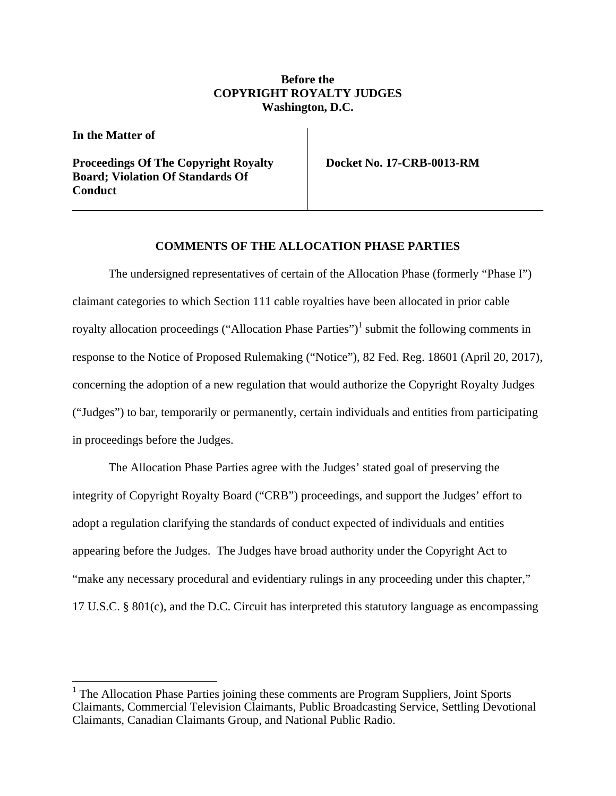# **Before the COPYRIGHT ROYALTY JUDGES Washington, D.C.**

**In the Matter of** 

 $\overline{a}$ 

**Proceedings Of The Copyright Royalty Board; Violation Of Standards Of Conduct** 

**Docket No. 17-CRB-0013-RM** 

# **COMMENTS OF THE ALLOCATION PHASE PARTIES**

The undersigned representatives of certain of the Allocation Phase (formerly "Phase I") claimant categories to which Section 111 cable royalties have been allocated in prior cable royalty allocation proceedings ("Allocation Phase Parties")<sup>1</sup> submit the following comments in response to the Notice of Proposed Rulemaking ("Notice"), 82 Fed. Reg. 18601 (April 20, 2017), concerning the adoption of a new regulation that would authorize the Copyright Royalty Judges ("Judges") to bar, temporarily or permanently, certain individuals and entities from participating in proceedings before the Judges.

The Allocation Phase Parties agree with the Judges' stated goal of preserving the integrity of Copyright Royalty Board ("CRB") proceedings, and support the Judges' effort to adopt a regulation clarifying the standards of conduct expected of individuals and entities appearing before the Judges. The Judges have broad authority under the Copyright Act to "make any necessary procedural and evidentiary rulings in any proceeding under this chapter," 17 U.S.C. § 801(c), and the D.C. Circuit has interpreted this statutory language as encompassing

<sup>&</sup>lt;sup>1</sup> The Allocation Phase Parties joining these comments are Program Suppliers, Joint Sports Claimants, Commercial Television Claimants, Public Broadcasting Service, Settling Devotional Claimants, Canadian Claimants Group, and National Public Radio.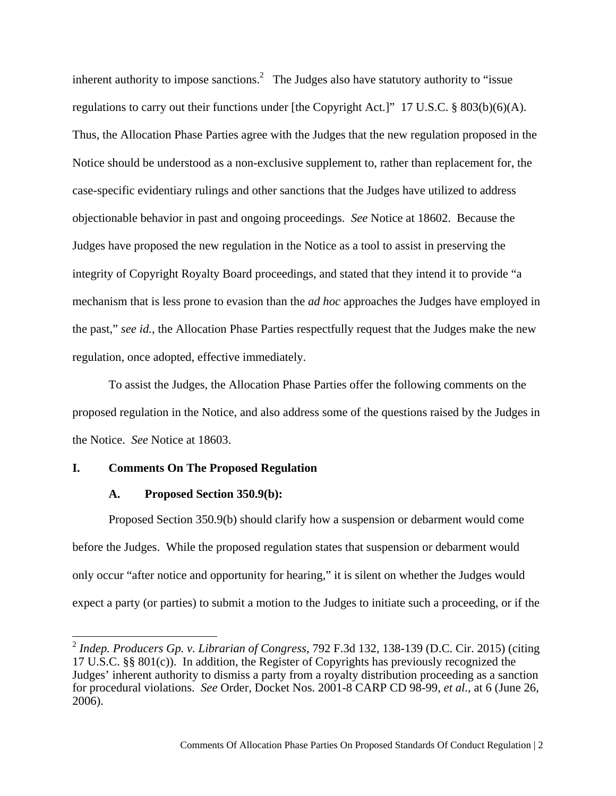inherent authority to impose sanctions.<sup>2</sup> The Judges also have statutory authority to "issue regulations to carry out their functions under [the Copyright Act.]" 17 U.S.C. § 803(b)(6)(A). Thus, the Allocation Phase Parties agree with the Judges that the new regulation proposed in the Notice should be understood as a non-exclusive supplement to, rather than replacement for, the case-specific evidentiary rulings and other sanctions that the Judges have utilized to address objectionable behavior in past and ongoing proceedings. *See* Notice at 18602. Because the Judges have proposed the new regulation in the Notice as a tool to assist in preserving the integrity of Copyright Royalty Board proceedings, and stated that they intend it to provide "a mechanism that is less prone to evasion than the *ad hoc* approaches the Judges have employed in the past," *see id.*, the Allocation Phase Parties respectfully request that the Judges make the new regulation, once adopted, effective immediately.

To assist the Judges, the Allocation Phase Parties offer the following comments on the proposed regulation in the Notice, and also address some of the questions raised by the Judges in the Notice. *See* Notice at 18603.

### **I. Comments On The Proposed Regulation**

### **A. Proposed Section 350.9(b):**

 $\overline{a}$ 

Proposed Section 350.9(b) should clarify how a suspension or debarment would come before the Judges. While the proposed regulation states that suspension or debarment would only occur "after notice and opportunity for hearing," it is silent on whether the Judges would expect a party (or parties) to submit a motion to the Judges to initiate such a proceeding, or if the

<sup>2</sup> *Indep. Producers Gp. v. Librarian of Congress*, 792 F.3d 132, 138-139 (D.C. Cir. 2015) (citing 17 U.S.C. §§ 801(c)). In addition, the Register of Copyrights has previously recognized the Judges' inherent authority to dismiss a party from a royalty distribution proceeding as a sanction for procedural violations. *See* Order, Docket Nos. 2001-8 CARP CD 98-99, *et al.*, at 6 (June 26, 2006).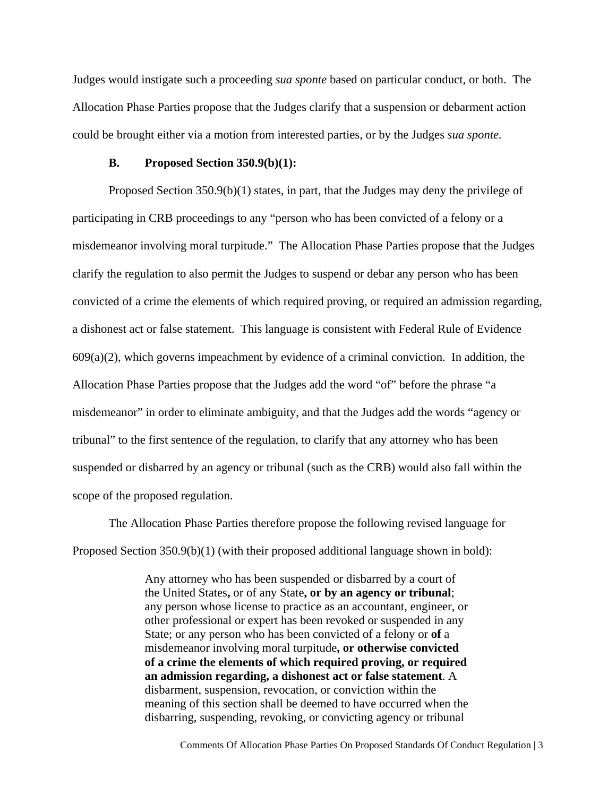Judges would instigate such a proceeding *sua sponte* based on particular conduct, or both. The Allocation Phase Parties propose that the Judges clarify that a suspension or debarment action could be brought either via a motion from interested parties, or by the Judges *sua sponte.*

#### **B. Proposed Section 350.9(b)(1):**

Proposed Section 350.9(b)(1) states, in part, that the Judges may deny the privilege of participating in CRB proceedings to any "person who has been convicted of a felony or a misdemeanor involving moral turpitude." The Allocation Phase Parties propose that the Judges clarify the regulation to also permit the Judges to suspend or debar any person who has been convicted of a crime the elements of which required proving, or required an admission regarding, a dishonest act or false statement. This language is consistent with Federal Rule of Evidence  $609(a)(2)$ , which governs impeachment by evidence of a criminal conviction. In addition, the Allocation Phase Parties propose that the Judges add the word "of" before the phrase "a misdemeanor" in order to eliminate ambiguity, and that the Judges add the words "agency or tribunal" to the first sentence of the regulation, to clarify that any attorney who has been suspended or disbarred by an agency or tribunal (such as the CRB) would also fall within the scope of the proposed regulation.

The Allocation Phase Parties therefore propose the following revised language for Proposed Section 350.9(b)(1) (with their proposed additional language shown in bold):

> Any attorney who has been suspended or disbarred by a court of the United States**,** or of any State**, or by an agency or tribunal**; any person whose license to practice as an accountant, engineer, or other professional or expert has been revoked or suspended in any State; or any person who has been convicted of a felony or **of** a misdemeanor involving moral turpitude**, or otherwise convicted of a crime the elements of which required proving, or required an admission regarding, a dishonest act or false statement**. A disbarment, suspension, revocation, or conviction within the meaning of this section shall be deemed to have occurred when the disbarring, suspending, revoking, or convicting agency or tribunal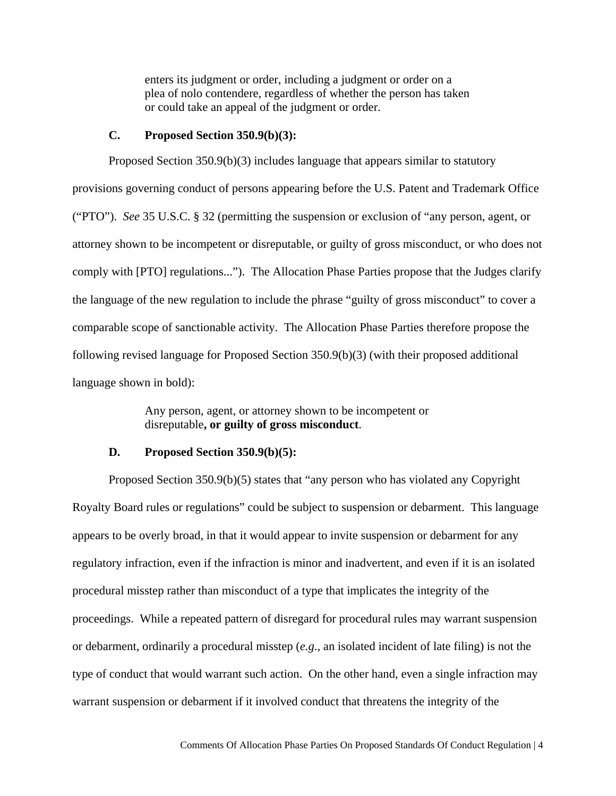enters its judgment or order, including a judgment or order on a plea of nolo contendere, regardless of whether the person has taken or could take an appeal of the judgment or order.

### **C. Proposed Section 350.9(b)(3):**

Proposed Section 350.9(b)(3) includes language that appears similar to statutory provisions governing conduct of persons appearing before the U.S. Patent and Trademark Office ("PTO"). *See* 35 U.S.C. § 32 (permitting the suspension or exclusion of "any person, agent, or attorney shown to be incompetent or disreputable, or guilty of gross misconduct, or who does not comply with [PTO] regulations..."). The Allocation Phase Parties propose that the Judges clarify the language of the new regulation to include the phrase "guilty of gross misconduct" to cover a comparable scope of sanctionable activity. The Allocation Phase Parties therefore propose the following revised language for Proposed Section 350.9(b)(3) (with their proposed additional language shown in bold):

> Any person, agent, or attorney shown to be incompetent or disreputable**, or guilty of gross misconduct**.

#### **D. Proposed Section 350.9(b)(5):**

Proposed Section 350.9(b)(5) states that "any person who has violated any Copyright Royalty Board rules or regulations" could be subject to suspension or debarment. This language appears to be overly broad, in that it would appear to invite suspension or debarment for any regulatory infraction, even if the infraction is minor and inadvertent, and even if it is an isolated procedural misstep rather than misconduct of a type that implicates the integrity of the proceedings. While a repeated pattern of disregard for procedural rules may warrant suspension or debarment, ordinarily a procedural misstep (*e.g*., an isolated incident of late filing) is not the type of conduct that would warrant such action. On the other hand, even a single infraction may warrant suspension or debarment if it involved conduct that threatens the integrity of the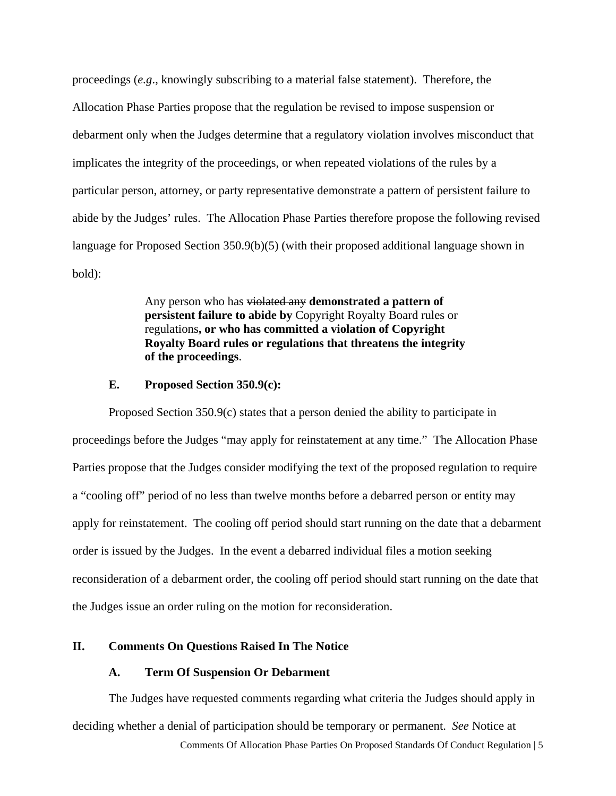proceedings (*e.g*., knowingly subscribing to a material false statement). Therefore, the Allocation Phase Parties propose that the regulation be revised to impose suspension or debarment only when the Judges determine that a regulatory violation involves misconduct that implicates the integrity of the proceedings, or when repeated violations of the rules by a particular person, attorney, or party representative demonstrate a pattern of persistent failure to abide by the Judges' rules. The Allocation Phase Parties therefore propose the following revised language for Proposed Section 350.9(b)(5) (with their proposed additional language shown in bold):

> Any person who has violated any **demonstrated a pattern of persistent failure to abide by** Copyright Royalty Board rules or regulations**, or who has committed a violation of Copyright Royalty Board rules or regulations that threatens the integrity of the proceedings**.

### **E. Proposed Section 350.9(c):**

Proposed Section 350.9(c) states that a person denied the ability to participate in proceedings before the Judges "may apply for reinstatement at any time." The Allocation Phase Parties propose that the Judges consider modifying the text of the proposed regulation to require a "cooling off" period of no less than twelve months before a debarred person or entity may apply for reinstatement. The cooling off period should start running on the date that a debarment order is issued by the Judges. In the event a debarred individual files a motion seeking reconsideration of a debarment order, the cooling off period should start running on the date that the Judges issue an order ruling on the motion for reconsideration.

# **II. Comments On Questions Raised In The Notice**

#### **A. Term Of Suspension Or Debarment**

The Judges have requested comments regarding what criteria the Judges should apply in deciding whether a denial of participation should be temporary or permanent. *See* Notice at

Comments Of Allocation Phase Parties On Proposed Standards Of Conduct Regulation | 5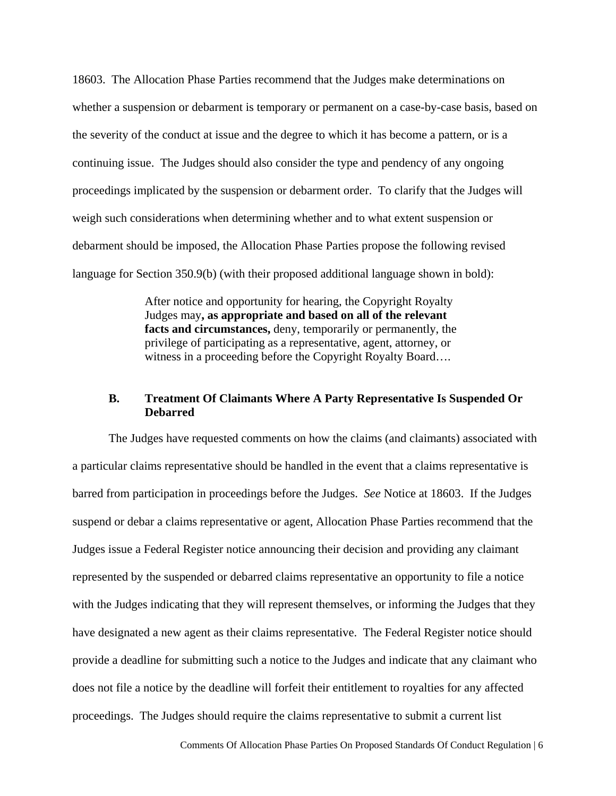18603. The Allocation Phase Parties recommend that the Judges make determinations on whether a suspension or debarment is temporary or permanent on a case-by-case basis, based on the severity of the conduct at issue and the degree to which it has become a pattern, or is a continuing issue. The Judges should also consider the type and pendency of any ongoing proceedings implicated by the suspension or debarment order. To clarify that the Judges will weigh such considerations when determining whether and to what extent suspension or debarment should be imposed, the Allocation Phase Parties propose the following revised language for Section 350.9(b) (with their proposed additional language shown in bold):

> After notice and opportunity for hearing, the Copyright Royalty Judges may**, as appropriate and based on all of the relevant facts and circumstances,** deny, temporarily or permanently, the privilege of participating as a representative, agent, attorney, or witness in a proceeding before the Copyright Royalty Board....

# **B. Treatment Of Claimants Where A Party Representative Is Suspended Or Debarred**

The Judges have requested comments on how the claims (and claimants) associated with a particular claims representative should be handled in the event that a claims representative is barred from participation in proceedings before the Judges. *See* Notice at 18603. If the Judges suspend or debar a claims representative or agent, Allocation Phase Parties recommend that the Judges issue a Federal Register notice announcing their decision and providing any claimant represented by the suspended or debarred claims representative an opportunity to file a notice with the Judges indicating that they will represent themselves, or informing the Judges that they have designated a new agent as their claims representative. The Federal Register notice should provide a deadline for submitting such a notice to the Judges and indicate that any claimant who does not file a notice by the deadline will forfeit their entitlement to royalties for any affected proceedings. The Judges should require the claims representative to submit a current list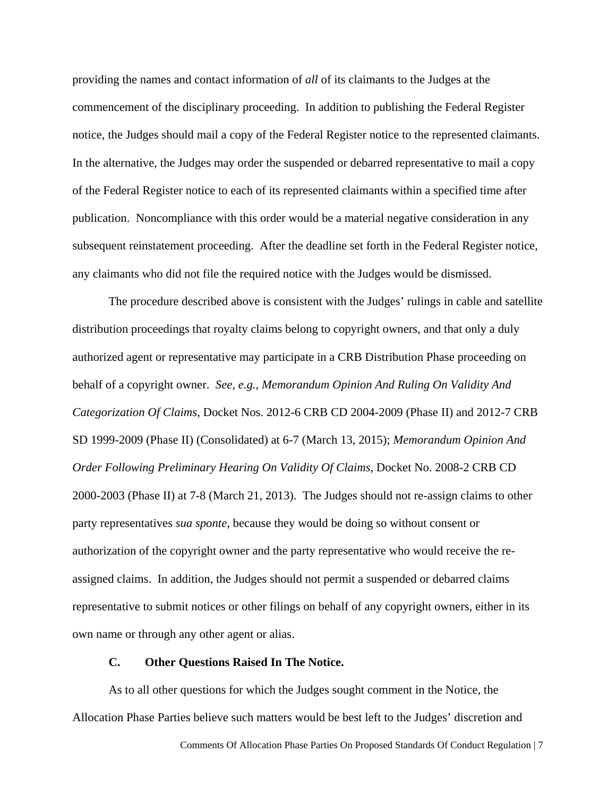providing the names and contact information of *all* of its claimants to the Judges at the commencement of the disciplinary proceeding. In addition to publishing the Federal Register notice, the Judges should mail a copy of the Federal Register notice to the represented claimants. In the alternative, the Judges may order the suspended or debarred representative to mail a copy of the Federal Register notice to each of its represented claimants within a specified time after publication. Noncompliance with this order would be a material negative consideration in any subsequent reinstatement proceeding. After the deadline set forth in the Federal Register notice, any claimants who did not file the required notice with the Judges would be dismissed.

The procedure described above is consistent with the Judges' rulings in cable and satellite distribution proceedings that royalty claims belong to copyright owners, and that only a duly authorized agent or representative may participate in a CRB Distribution Phase proceeding on behalf of a copyright owner. *See, e.g., Memorandum Opinion And Ruling On Validity And Categorization Of Claims*, Docket Nos. 2012-6 CRB CD 2004-2009 (Phase II) and 2012-7 CRB SD 1999-2009 (Phase II) (Consolidated) at 6-7 (March 13, 2015); *Memorandum Opinion And Order Following Preliminary Hearing On Validity Of Claims*, Docket No. 2008-2 CRB CD 2000-2003 (Phase II) at 7-8 (March 21, 2013). The Judges should not re-assign claims to other party representatives *sua sponte*, because they would be doing so without consent or authorization of the copyright owner and the party representative who would receive the reassigned claims. In addition, the Judges should not permit a suspended or debarred claims representative to submit notices or other filings on behalf of any copyright owners, either in its own name or through any other agent or alias.

### **C. Other Questions Raised In The Notice.**

As to all other questions for which the Judges sought comment in the Notice, the Allocation Phase Parties believe such matters would be best left to the Judges' discretion and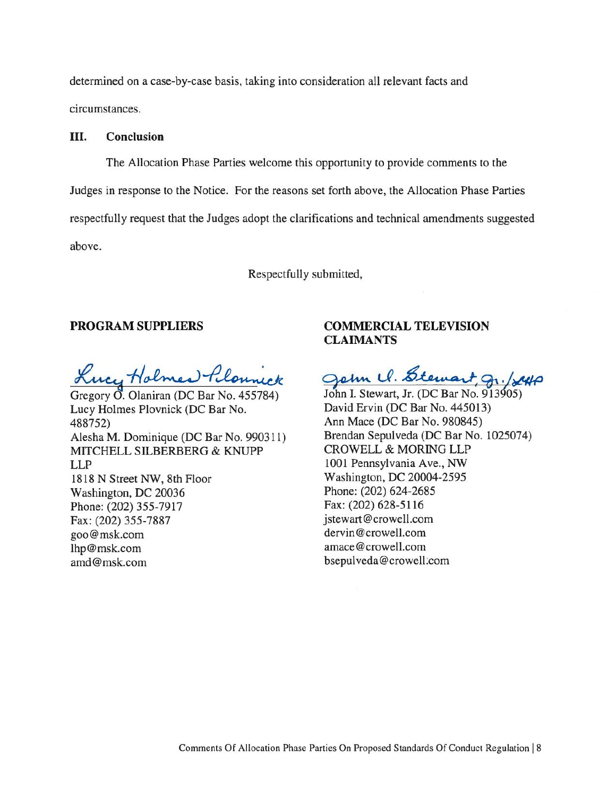determined on a case-by-case basis, taking into consideration all relevant facts and circumstances.

### **III. Conclusion**

The Allocation Phase Parties welcome this opportunity to provide comments to the Judges in response to the Notice. For the reasons set forth above, the Allocation Phase Parties respectfully request that the Judges adopt the clarifications and technical amendments suggested above.

Respectfully submitted,

### **PROGRAM SUPPLIERS**

Lucy Holmes Plonneck

Gregory 0. Olaniran (DC Bar No. 455784) Lucy Holmes Plovnick (DC Bar No. 488752) Alesha M. Dominique (DC Bar No. 990311) MITCHELL SILBERBERG & KNUPP LLP 1818 N Street NW, 8th Floor Washington, DC 20036 Phone: (202) 355-7917 Fax: (202) 355-7887 goo@msk.com lhp@msk.com amd@msk.com

# **COMMERCIAL TELEVISION CLAIMANTS**

goin U. Stewart gr. /240

John I. Stewart, Jr. (DC Bar No. 913405) David Ervin (DC Bar No. 445013) Ann Mace (DC Bar No. 980845) Brendan Sepulveda (DC Bar No. 1025074) CROWELL & MOR1NG LLP 1001 Pennsylvania Ave., NW Washington, DC 20004-2595 Phone: (202) 624-2685 Fax: (202) 628-5116 jstewart@crowell.com dervin@crowell.com amace@crowell.com bsepulveda@crowell:com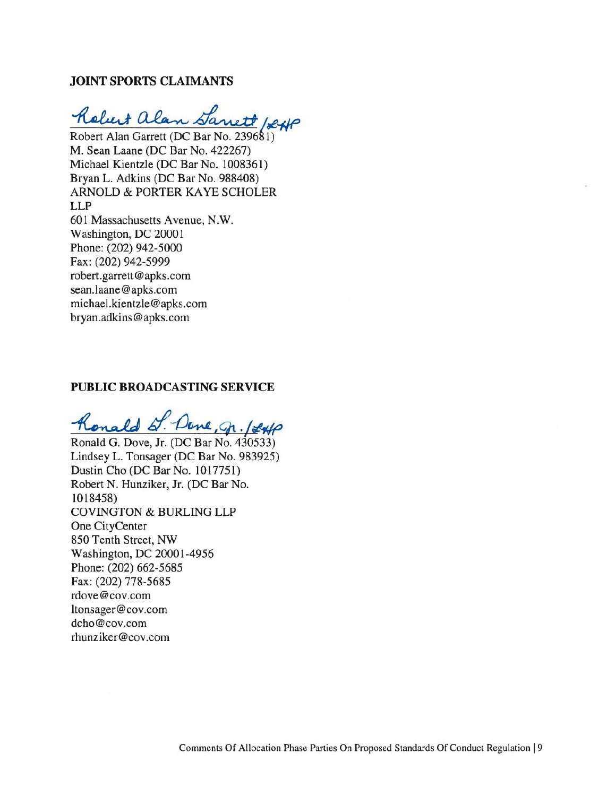## **JOINT SPORTS CLAIMANTS**

Robert alan Sanett 1sexp

Robert Alan Garrett (DC Bar No. 239681) M. Sean Laane (DC Bar No. 422267) Michael Kientzle (DC Bar No. 1008361) Bryan L. Adkins (DC Bar No. 988408) ARNOLD & PORTER KAYE SCHOLER LLP 601 Massachusetts Avenue, N.W. Washington, DC 20001 Phone: (202) 942-5000 Fax: (202) 942-5999 robert.garrett@apks.com sean.laane@apks.com michael.kientzle@apks.com bryan.adkins@apks.com

# **PUBLIC BROADCASTING SERVICE**

 $k$ onald  $d$ . Done, gr. 1840

Ronald G. Dove, Jr. (DC Bar No. 430533) Lindsey L. Tonsager (DC Bar No. 983925) Dustin Cho (DC Bar No. 1017751) Robert N. Hunziker, Jr. (DC Bar No. 1018458) COVINGTON & BURLING LLP One CityCenter 850 Tenth Street, NW Washington, DC 20001-4956 Phone: (202) 662-5685 Fax: (202) 778-5685 rdove@cov.com ltonsager@cov.com dcho@cov.com rhunziker@cov.com